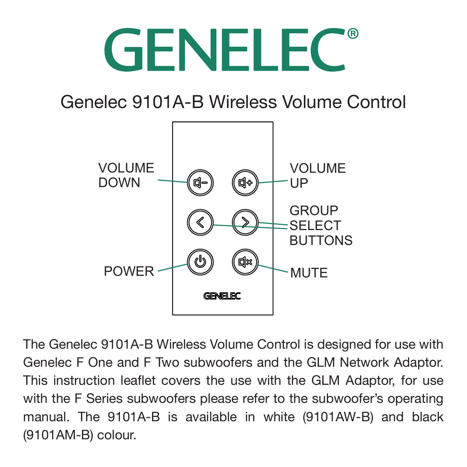## **GENELEC**

## Genelec 9101A-B Wireless Volume Control



The Genelec 9101A-B Wireless Volume Control is designed for use with Genelec F One and F Two subwoofers and the GLM Network Adaptor. This instruction leaflet covers the use with the GLM Adaptor, for use with the F Series subwoofers please refer to the subwoofer's operating manual. The 9101A-B is available in white (9101AW-B) and black (9101AM-B) colour.